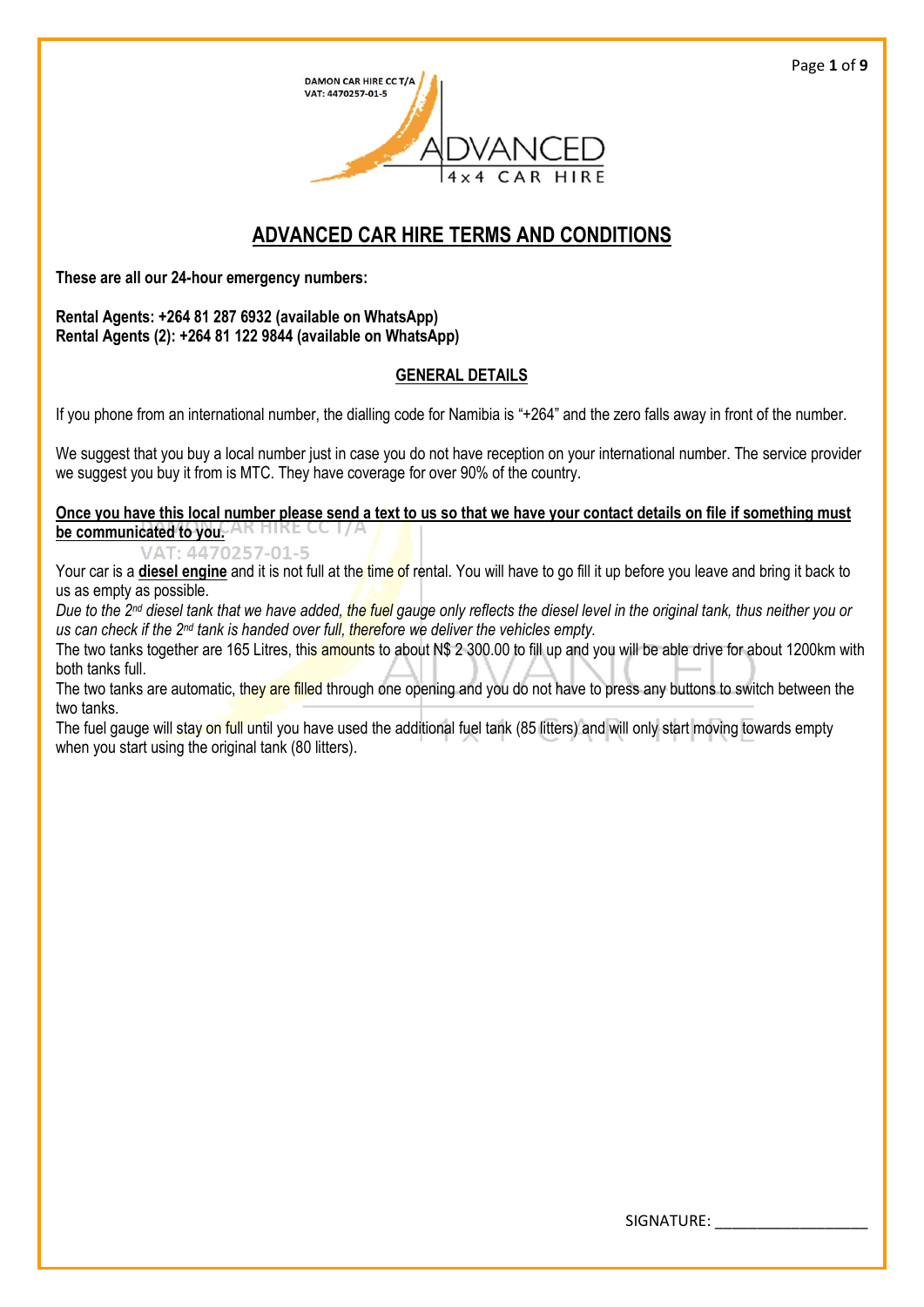

# **ADVANCED CAR HIRE TERMS AND CONDITIONS**

**These are all our 24-hour emergency numbers:**

**Rental Agents: +264 81 287 6932 (available on WhatsApp) Rental Agents (2): +264 81 122 9844 (available on WhatsApp)**

## **GENERAL DETAILS**

If you phone from an international number, the dialling code for Namibia is "+264" and the zero falls away in front of the number.

We suggest that you buy a local number just in case you do not have reception on your international number. The service provider we suggest you buy it from is MTC. They have coverage for over 90% of the country.

#### **Once you have this local number please send a text to us so that we have your contact details on file if something must be communicated to you.**

VAT: 4470257-01-5

Your car is a **diesel engine** and it is not full at the time of rental. You will have to go fill it up before you leave and bring it back to us as empty as possible.

*Due to the 2nd diesel tank that we have added, the fuel gauge only reflects the diesel level in the original tank, thus neither you or us can check if the 2nd tank is handed over full, therefore we deliver the vehicles empty.*

The two tanks together are 165 Litres, this amounts to about N\$ 2 300.00 to fill up and you will be able drive for about 1200km with both tanks full.

The two tanks are automatic, they are filled through one opening and you do not have to press any buttons to switch between the two tanks.

The fuel gauge will stay on full until you have used the additional fuel tank (85 litters) and will only start moving towards empty when you start using the original tank (80 litters).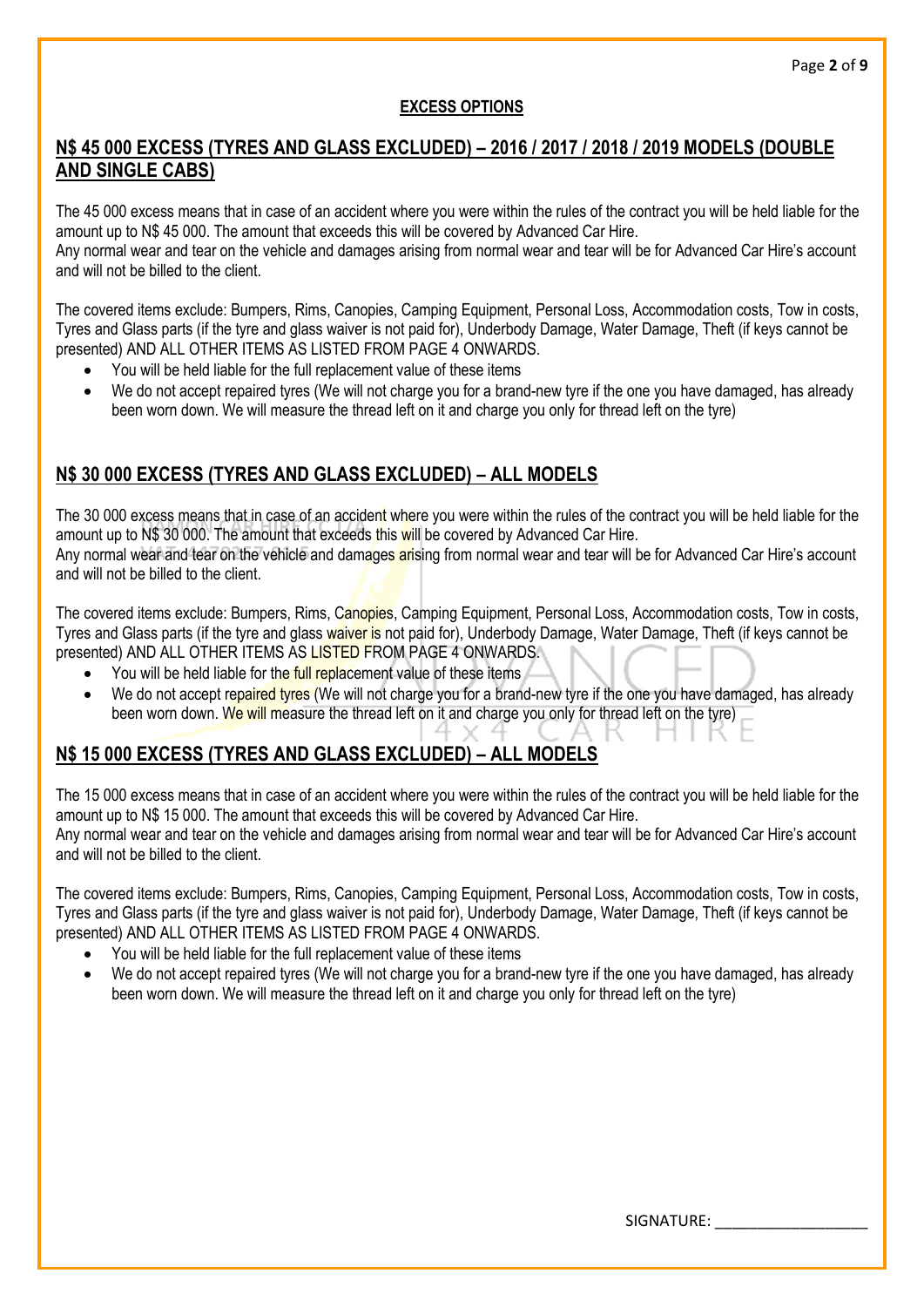## **EXCESS OPTIONS**

# **N\$ 45 000 EXCESS (TYRES AND GLASS EXCLUDED) – 2016 / 2017 / 2018 / 2019 MODELS (DOUBLE AND SINGLE CABS)**

The 45 000 excess means that in case of an accident where you were within the rules of the contract you will be held liable for the amount up to N\$ 45 000. The amount that exceeds this will be covered by Advanced Car Hire.

Any normal wear and tear on the vehicle and damages arising from normal wear and tear will be for Advanced Car Hire's account and will not be billed to the client.

The covered items exclude: Bumpers, Rims, Canopies, Camping Equipment, Personal Loss, Accommodation costs, Tow in costs, Tyres and Glass parts (if the tyre and glass waiver is not paid for), Underbody Damage, Water Damage, Theft (if keys cannot be presented) AND ALL OTHER ITEMS AS LISTED FROM PAGE 4 ONWARDS.

- You will be held liable for the full replacement value of these items
- We do not accept repaired tyres (We will not charge you for a brand-new tyre if the one you have damaged, has already been worn down. We will measure the thread left on it and charge you only for thread left on the tyre)

# **N\$ 30 000 EXCESS (TYRES AND GLASS EXCLUDED) – ALL MODELS**

The 30 000 excess means that in case of an accident where you were within the rules of the contract you will be held liable for the amount up to N\$ 30 000. The amount that exceeds this will be covered by Advanced Car Hire. Any normal wear and tear on the vehicle and damages arising from normal wear and tear will be for Advanced Car Hire's account and will not be billed to the client.

The covered items exclude: Bumpers, Rims, Canopies, Camping Equipment, Personal Loss, Accommodation costs, Tow in costs, Tyres and Glass parts (if the tyre and glass waiver is not paid for), Underbody Damage, Water Damage, Theft (if keys cannot be presented) AND ALL OTHER ITEMS AS LISTED FROM PAGE 4 ONWARDS.

- You will be held liable for the full replacement value of these items
- We do not accept repaired tyres (We will not charge you for a brand-new tyre if the one you have damaged, has already been worn down. We will measure the thread left on it and charge you only for thread left on the tyre)

# **N\$ 15 000 EXCESS (TYRES AND GLASS EXCLUDED) – ALL MODELS**

The 15 000 excess means that in case of an accident where you were within the rules of the contract you will be held liable for the amount up to N\$ 15 000. The amount that exceeds this will be covered by Advanced Car Hire. Any normal wear and tear on the vehicle and damages arising from normal wear and tear will be for Advanced Car Hire's account and will not be billed to the client.

The covered items exclude: Bumpers, Rims, Canopies, Camping Equipment, Personal Loss, Accommodation costs, Tow in costs, Tyres and Glass parts (if the tyre and glass waiver is not paid for), Underbody Damage, Water Damage, Theft (if keys cannot be presented) AND ALL OTHER ITEMS AS LISTED FROM PAGE 4 ONWARDS.

- You will be held liable for the full replacement value of these items
- We do not accept repaired tyres (We will not charge you for a brand-new tyre if the one you have damaged, has already been worn down. We will measure the thread left on it and charge you only for thread left on the tyre)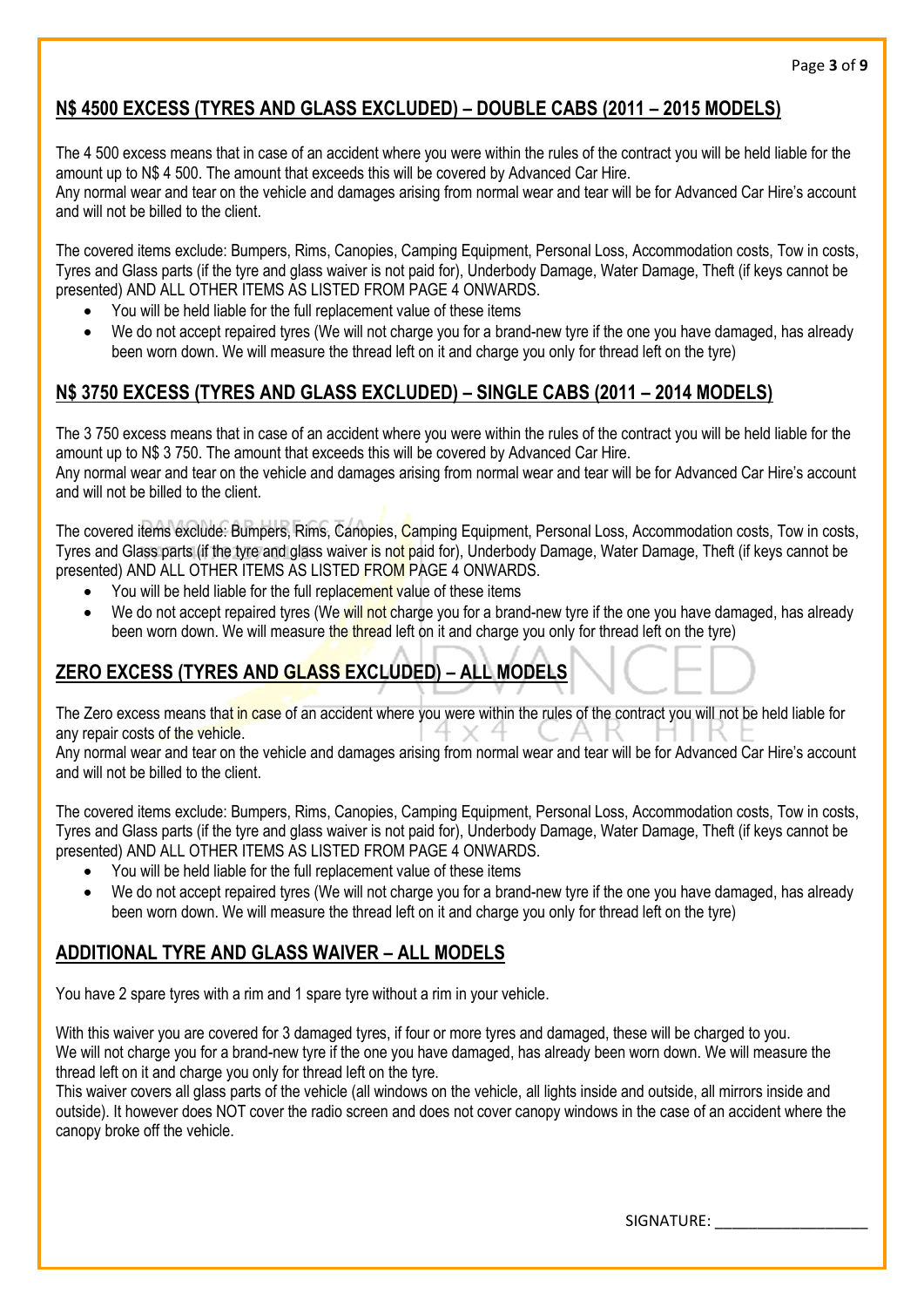# **N\$ 4500 EXCESS (TYRES AND GLASS EXCLUDED) – DOUBLE CABS (2011 – 2015 MODELS)**

The 4 500 excess means that in case of an accident where you were within the rules of the contract you will be held liable for the amount up to N\$ 4 500. The amount that exceeds this will be covered by Advanced Car Hire. Any normal wear and tear on the vehicle and damages arising from normal wear and tear will be for Advanced Car Hire's account and will not be billed to the client.

The covered items exclude: Bumpers, Rims, Canopies, Camping Equipment, Personal Loss, Accommodation costs, Tow in costs, Tyres and Glass parts (if the tyre and glass waiver is not paid for), Underbody Damage, Water Damage, Theft (if keys cannot be presented) AND ALL OTHER ITEMS AS LISTED FROM PAGE 4 ONWARDS.

- You will be held liable for the full replacement value of these items
- We do not accept repaired tyres (We will not charge you for a brand-new tyre if the one you have damaged, has already been worn down. We will measure the thread left on it and charge you only for thread left on the tyre)

# **N\$ 3750 EXCESS (TYRES AND GLASS EXCLUDED) – SINGLE CABS (2011 – 2014 MODELS)**

The 3 750 excess means that in case of an accident where you were within the rules of the contract you will be held liable for the amount up to N\$ 3 750. The amount that exceeds this will be covered by Advanced Car Hire. Any normal wear and tear on the vehicle and damages arising from normal wear and tear will be for Advanced Car Hire's account and will not be billed to the client.

The covered items exclude: Bumpers, Rims, Canopies, Camping Equipment, Personal Loss, Accommodation costs, Tow in costs, Tyres and Glass parts (if the tyre and glass waiver is not paid for), Underbody Damage, Water Damage, Theft (if keys cannot be presented) AND ALL OTHER ITEMS AS LISTED FROM PAGE 4 ONWARDS.

- You will be held liable for the full replacement value of these items
- We do not accept repaired tyres (We will not charge you for a brand-new tyre if the one you have damaged, has already been worn down. We will measure the thread left on it and charge you only for thread left on the tyre)

# **ZERO EXCESS (TYRES AND GLASS EXCLUDED) – ALL MODELS**

The Zero excess means that in case of an accident where you were within the rules of the contract you will not be held liable for any repair costs of the vehicle.

Any normal wear and tear on the vehicle and damages arising from normal wear and tear will be for Advanced Car Hire's account and will not be billed to the client.

The covered items exclude: Bumpers, Rims, Canopies, Camping Equipment, Personal Loss, Accommodation costs, Tow in costs, Tyres and Glass parts (if the tyre and glass waiver is not paid for), Underbody Damage, Water Damage, Theft (if keys cannot be presented) AND ALL OTHER ITEMS AS LISTED FROM PAGE 4 ONWARDS.

- You will be held liable for the full replacement value of these items
- We do not accept repaired tyres (We will not charge you for a brand-new tyre if the one you have damaged, has already been worn down. We will measure the thread left on it and charge you only for thread left on the tyre)

# **ADDITIONAL TYRE AND GLASS WAIVER – ALL MODELS**

You have 2 spare tyres with a rim and 1 spare tyre without a rim in your vehicle.

With this waiver you are covered for 3 damaged tyres, if four or more tyres and damaged, these will be charged to you. We will not charge you for a brand-new tyre if the one you have damaged, has already been worn down. We will measure the thread left on it and charge you only for thread left on the tyre.

This waiver covers all glass parts of the vehicle (all windows on the vehicle, all lights inside and outside, all mirrors inside and outside). It however does NOT cover the radio screen and does not cover canopy windows in the case of an accident where the canopy broke off the vehicle.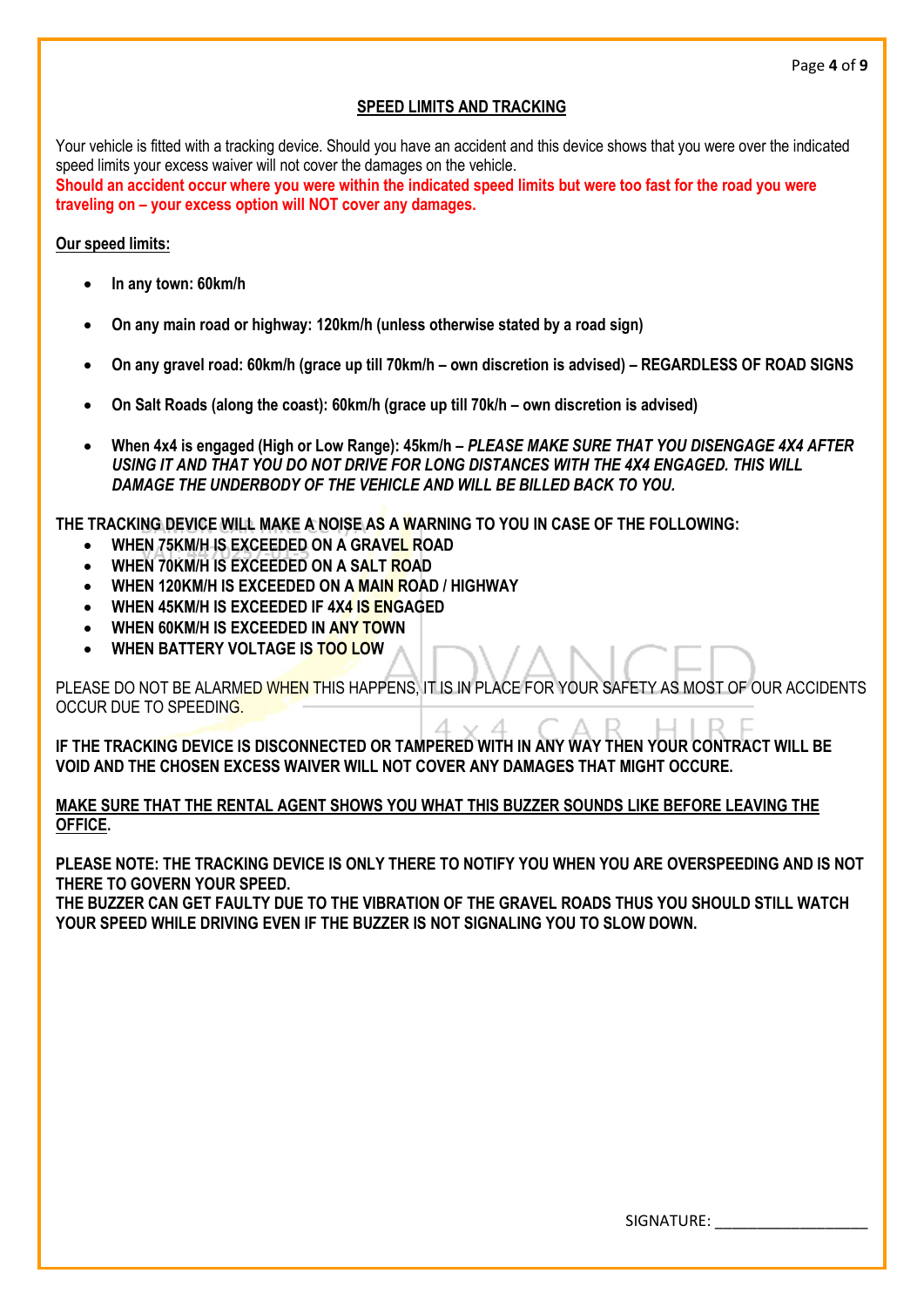### **SPEED LIMITS AND TRACKING**

Your vehicle is fitted with a tracking device. Should you have an accident and this device shows that you were over the indicated speed limits your excess waiver will not cover the damages on the vehicle. **Should an accident occur where you were within the indicated speed limits but were too fast for the road you were traveling on – your excess option will NOT cover any damages.**

#### **Our speed limits:**

- **In any town: 60km/h**
- **On any main road or highway: 120km/h (unless otherwise stated by a road sign)**
- **On any gravel road: 60km/h (grace up till 70km/h – own discretion is advised) – REGARDLESS OF ROAD SIGNS**
- **On Salt Roads (along the coast): 60km/h (grace up till 70k/h – own discretion is advised)**
- **When 4x4 is engaged (High or Low Range): 45km/h –** *PLEASE MAKE SURE THAT YOU DISENGAGE 4X4 AFTER USING IT AND THAT YOU DO NOT DRIVE FOR LONG DISTANCES WITH THE 4X4 ENGAGED. THIS WILL DAMAGE THE UNDERBODY OF THE VEHICLE AND WILL BE BILLED BACK TO YOU.*

**THE TRACKING DEVICE WILL MAKE A NOISE AS A WARNING TO YOU IN CASE OF THE FOLLOWING:**

- **WHEN 75KM/H IS EXCEEDED ON A GRAVEL ROAD**
- **WHEN 70KM/H IS EXCEEDED ON A SALT ROAD**
- **WHEN 120KM/H IS EXCEEDED ON A MAIN ROAD / HIGHWAY**
- **WHEN 45KM/H IS EXCEEDED IF 4X4 IS ENGAGED**
- **WHEN 60KM/H IS EXCEEDED IN ANY TOWN**
- **WHEN BATTERY VOLTAGE IS TOO LOW**

PLEASE DO NOT BE ALARMED WHEN THIS HAPPENS, IT IS IN PLACE FOR YOUR SAFETY AS MOST OF OUR ACCIDENTS OCCUR DUE TO SPEEDING.

**IF THE TRACKING DEVICE IS DISCONNECTED OR TAMPERED WITH IN ANY WAY THEN YOUR CONTRACT WILL BE VOID AND THE CHOSEN EXCESS WAIVER WILL NOT COVER ANY DAMAGES THAT MIGHT OCCURE.**

#### **MAKE SURE THAT THE RENTAL AGENT SHOWS YOU WHAT THIS BUZZER SOUNDS LIKE BEFORE LEAVING THE OFFICE.**

**PLEASE NOTE: THE TRACKING DEVICE IS ONLY THERE TO NOTIFY YOU WHEN YOU ARE OVERSPEEDING AND IS NOT THERE TO GOVERN YOUR SPEED.**

**THE BUZZER CAN GET FAULTY DUE TO THE VIBRATION OF THE GRAVEL ROADS THUS YOU SHOULD STILL WATCH YOUR SPEED WHILE DRIVING EVEN IF THE BUZZER IS NOT SIGNALING YOU TO SLOW DOWN.**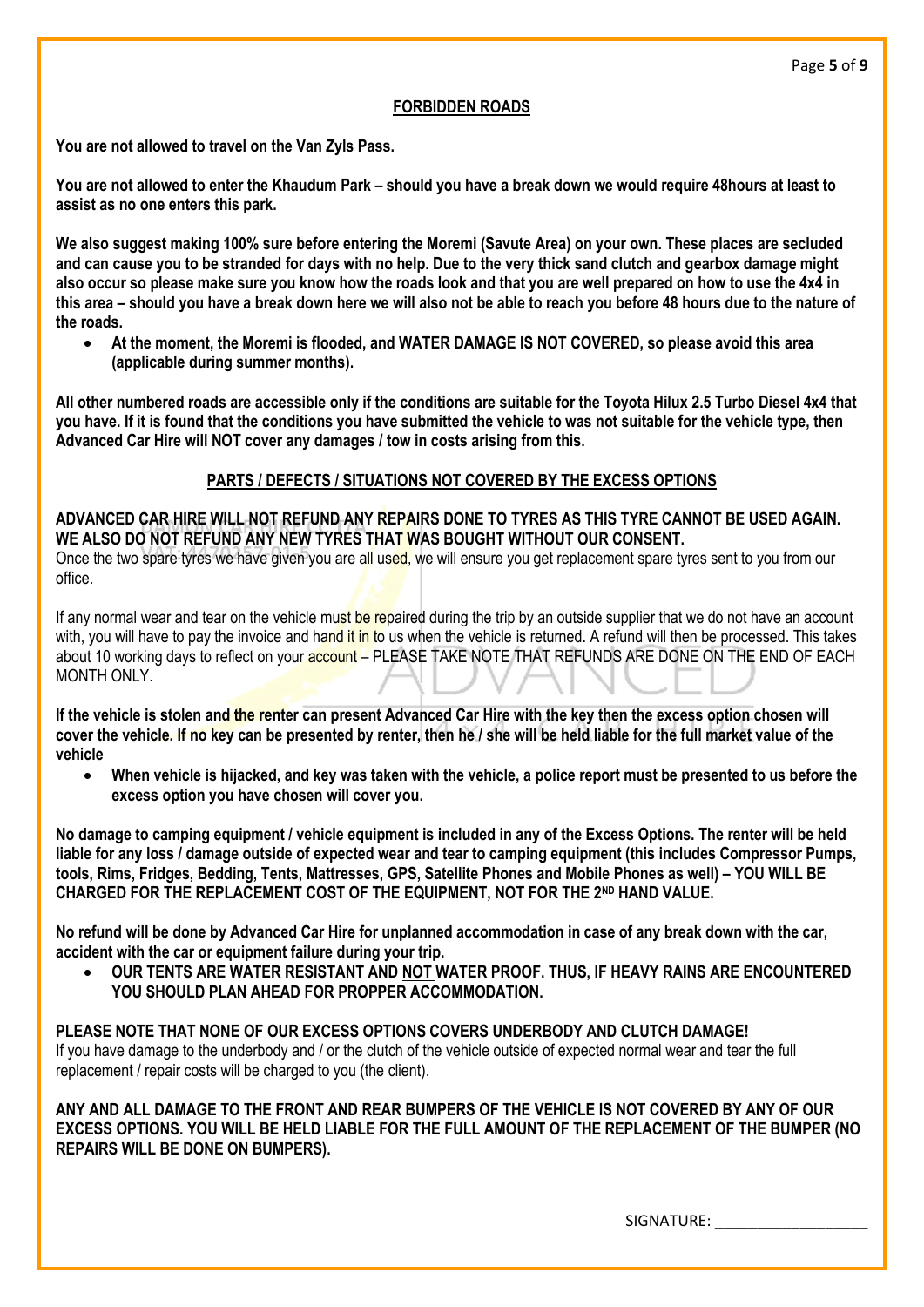#### **FORBIDDEN ROADS**

**You are not allowed to travel on the Van Zyls Pass.**

**You are not allowed to enter the Khaudum Park – should you have a break down we would require 48hours at least to assist as no one enters this park.**

**We also suggest making 100% sure before entering the Moremi (Savute Area) on your own. These places are secluded and can cause you to be stranded for days with no help. Due to the very thick sand clutch and gearbox damage might also occur so please make sure you know how the roads look and that you are well prepared on how to use the 4x4 in this area – should you have a break down here we will also not be able to reach you before 48 hours due to the nature of the roads.**

• **At the moment, the Moremi is flooded, and WATER DAMAGE IS NOT COVERED, so please avoid this area (applicable during summer months).**

**All other numbered roads are accessible only if the conditions are suitable for the Toyota Hilux 2.5 Turbo Diesel 4x4 that you have. If it is found that the conditions you have submitted the vehicle to was not suitable for the vehicle type, then Advanced Car Hire will NOT cover any damages / tow in costs arising from this.**

#### **PARTS / DEFECTS / SITUATIONS NOT COVERED BY THE EXCESS OPTIONS**

**ADVANCED CAR HIRE WILL NOT REFUND ANY REPAIRS DONE TO TYRES AS THIS TYRE CANNOT BE USED AGAIN. WE ALSO DO NOT REFUND ANY NEW TYRES THAT WAS BOUGHT WITHOUT OUR CONSENT.**

Once the two spare tyres we have given you are all used, we will ensure you get replacement spare tyres sent to you from our office.

If any normal wear and tear on the vehicle must be repaired during the trip by an outside supplier that we do not have an account with, you will have to pay the invoice and hand it in to us when the vehicle is returned. A refund will then be processed. This takes about 10 working days to reflect on your **account** – PLEASE TAKE NOTE THAT REFUNDS ARE DONE ON THE END OF EACH MONTH ONLY

**If the vehicle is stolen and the renter can present Advanced Car Hire with the key then the excess option chosen will cover the vehicle. If no key can be presented by renter, then he / she will be held liable for the full market value of the vehicle**

• **When vehicle is hijacked, and key was taken with the vehicle, a police report must be presented to us before the excess option you have chosen will cover you.**

**No damage to camping equipment / vehicle equipment is included in any of the Excess Options. The renter will be held liable for any loss / damage outside of expected wear and tear to camping equipment (this includes Compressor Pumps, tools, Rims, Fridges, Bedding, Tents, Mattresses, GPS, Satellite Phones and Mobile Phones as well) – YOU WILL BE CHARGED FOR THE REPLACEMENT COST OF THE EQUIPMENT, NOT FOR THE 2ND HAND VALUE.**

**No refund will be done by Advanced Car Hire for unplanned accommodation in case of any break down with the car, accident with the car or equipment failure during your trip.**

• **OUR TENTS ARE WATER RESISTANT AND NOT WATER PROOF. THUS, IF HEAVY RAINS ARE ENCOUNTERED YOU SHOULD PLAN AHEAD FOR PROPPER ACCOMMODATION.**

**PLEASE NOTE THAT NONE OF OUR EXCESS OPTIONS COVERS UNDERBODY AND CLUTCH DAMAGE!**  If you have damage to the underbody and / or the clutch of the vehicle outside of expected normal wear and tear the full replacement / repair costs will be charged to you (the client).

**ANY AND ALL DAMAGE TO THE FRONT AND REAR BUMPERS OF THE VEHICLE IS NOT COVERED BY ANY OF OUR EXCESS OPTIONS. YOU WILL BE HELD LIABLE FOR THE FULL AMOUNT OF THE REPLACEMENT OF THE BUMPER (NO REPAIRS WILL BE DONE ON BUMPERS).**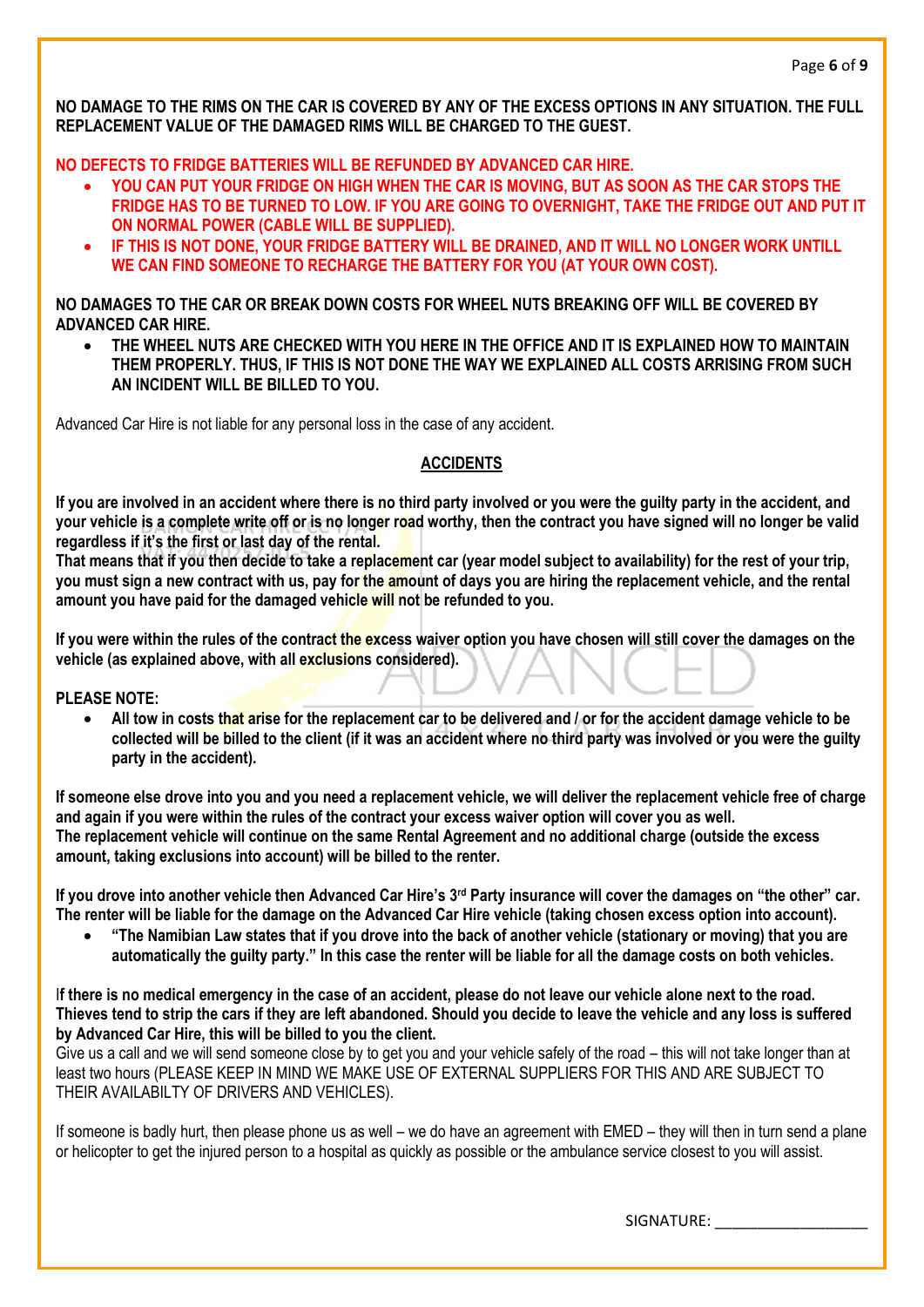**NO DAMAGE TO THE RIMS ON THE CAR IS COVERED BY ANY OF THE EXCESS OPTIONS IN ANY SITUATION. THE FULL REPLACEMENT VALUE OF THE DAMAGED RIMS WILL BE CHARGED TO THE GUEST.**

**NO DEFECTS TO FRIDGE BATTERIES WILL BE REFUNDED BY ADVANCED CAR HIRE.**

- **YOU CAN PUT YOUR FRIDGE ON HIGH WHEN THE CAR IS MOVING, BUT AS SOON AS THE CAR STOPS THE FRIDGE HAS TO BE TURNED TO LOW. IF YOU ARE GOING TO OVERNIGHT, TAKE THE FRIDGE OUT AND PUT IT ON NORMAL POWER (CABLE WILL BE SUPPLIED).**
- **IF THIS IS NOT DONE, YOUR FRIDGE BATTERY WILL BE DRAINED, AND IT WILL NO LONGER WORK UNTILL WE CAN FIND SOMEONE TO RECHARGE THE BATTERY FOR YOU (AT YOUR OWN COST).**

### **NO DAMAGES TO THE CAR OR BREAK DOWN COSTS FOR WHEEL NUTS BREAKING OFF WILL BE COVERED BY ADVANCED CAR HIRE.**

• **THE WHEEL NUTS ARE CHECKED WITH YOU HERE IN THE OFFICE AND IT IS EXPLAINED HOW TO MAINTAIN THEM PROPERLY. THUS, IF THIS IS NOT DONE THE WAY WE EXPLAINED ALL COSTS ARRISING FROM SUCH AN INCIDENT WILL BE BILLED TO YOU.**

Advanced Car Hire is not liable for any personal loss in the case of any accident.

## **ACCIDENTS**

**If you are involved in an accident where there is no third party involved or you were the guilty party in the accident, and your vehicle is a complete write off or is no longer road worthy, then the contract you have signed will no longer be valid regardless if it's the first or last day of the rental.** 

**That means that if you then decide to take a replacement car (year model subject to availability) for the rest of your trip, you must sign a new contract with us, pay for the amount of days you are hiring the replacement vehicle, and the rental amount you have paid for the damaged vehicle will not be refunded to you.**

**If you were within the rules of the contract the excess waiver option you have chosen will still cover the damages on the vehicle (as explained above, with all exclusions considered).**

**PLEASE NOTE:**

• **All tow in costs that arise for the replacement car to be delivered and / or for the accident damage vehicle to be collected will be billed to the client (if it was an accident where no third party was involved or you were the guilty party in the accident).**

**If someone else drove into you and you need a replacement vehicle, we will deliver the replacement vehicle free of charge and again if you were within the rules of the contract your excess waiver option will cover you as well. The replacement vehicle will continue on the same Rental Agreement and no additional charge (outside the excess amount, taking exclusions into account) will be billed to the renter.**

**If you drove into another vehicle then Advanced Car Hire's 3rd Party insurance will cover the damages on "the other" car. The renter will be liable for the damage on the Advanced Car Hire vehicle (taking chosen excess option into account).**

• **"The Namibian Law states that if you drove into the back of another vehicle (stationary or moving) that you are automatically the guilty party." In this case the renter will be liable for all the damage costs on both vehicles.**

I**f there is no medical emergency in the case of an accident, please do not leave our vehicle alone next to the road. Thieves tend to strip the cars if they are left abandoned. Should you decide to leave the vehicle and any loss is suffered by Advanced Car Hire, this will be billed to you the client.**

Give us a call and we will send someone close by to get you and your vehicle safely of the road – this will not take longer than at least two hours (PLEASE KEEP IN MIND WE MAKE USE OF EXTERNAL SUPPLIERS FOR THIS AND ARE SUBJECT TO THEIR AVAILABILTY OF DRIVERS AND VEHICLES).

If someone is badly hurt, then please phone us as well – we do have an agreement with EMED – they will then in turn send a plane or helicopter to get the injured person to a hospital as quickly as possible or the ambulance service closest to you will assist.

SIGNATURE: \_\_\_\_\_\_\_\_\_\_\_\_\_\_\_\_\_\_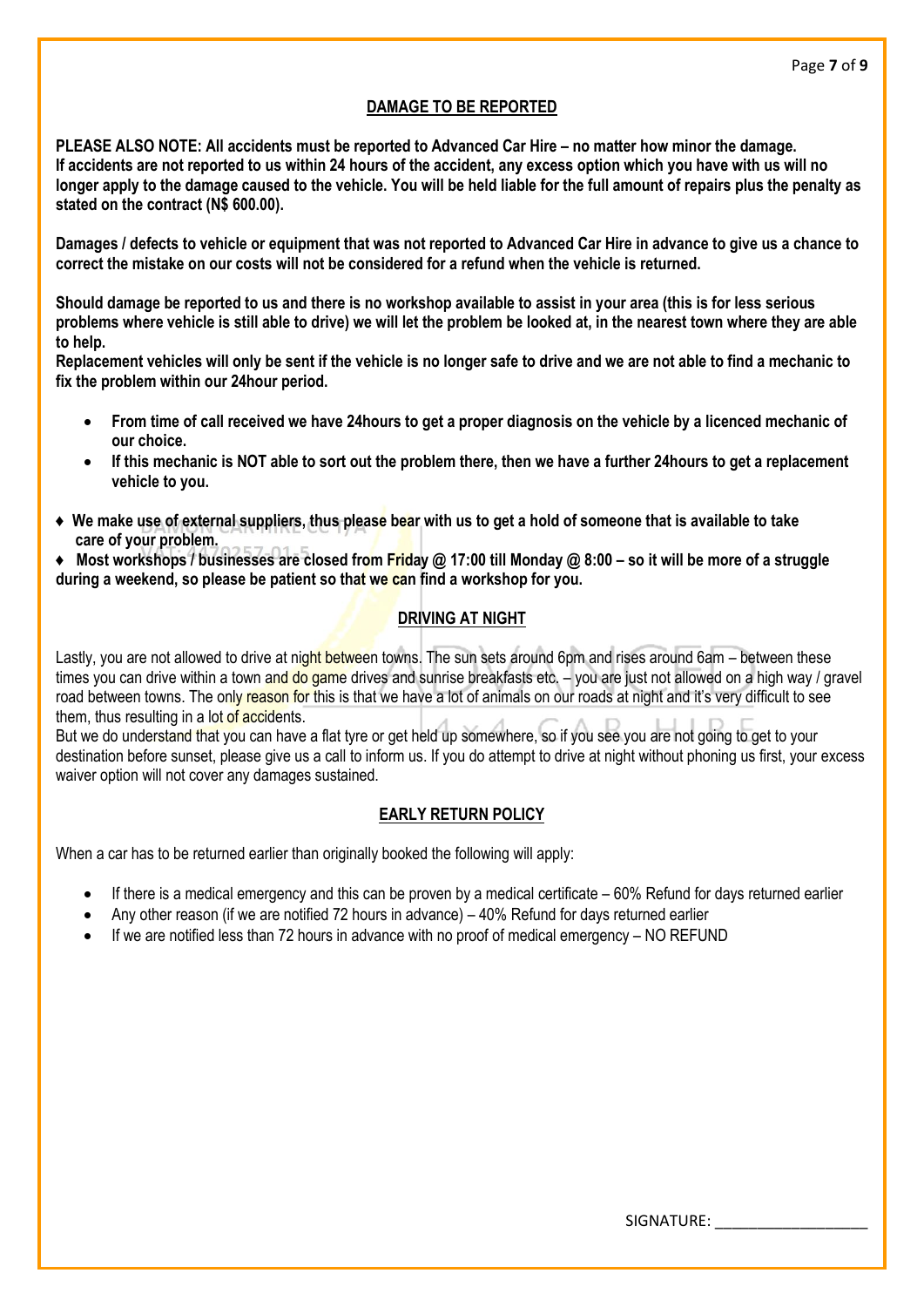### **DAMAGE TO BE REPORTED**

**PLEASE ALSO NOTE: All accidents must be reported to Advanced Car Hire – no matter how minor the damage. If accidents are not reported to us within 24 hours of the accident, any excess option which you have with us will no longer apply to the damage caused to the vehicle. You will be held liable for the full amount of repairs plus the penalty as stated on the contract (N\$ 600.00).**

**Damages / defects to vehicle or equipment that was not reported to Advanced Car Hire in advance to give us a chance to correct the mistake on our costs will not be considered for a refund when the vehicle is returned.**

**Should damage be reported to us and there is no workshop available to assist in your area (this is for less serious problems where vehicle is still able to drive) we will let the problem be looked at, in the nearest town where they are able to help.**

**Replacement vehicles will only be sent if the vehicle is no longer safe to drive and we are not able to find a mechanic to fix the problem within our 24hour period.**

- **From time of call received we have 24hours to get a proper diagnosis on the vehicle by a licenced mechanic of our choice.**
- **If this mechanic is NOT able to sort out the problem there, then we have a further 24hours to get a replacement vehicle to you.**
- **♦ We make use of external suppliers, thus please bear with us to get a hold of someone that is available to take care of your problem.**
- **♦ Most workshops / businesses are closed from Friday @ 17:00 till Monday @ 8:00 – so it will be more of a struggle during a weekend, so please be patient so that we can find a workshop for you.**

## **DRIVING AT NIGHT**

Lastly, you are not allowed to drive at night between towns. The sun sets around 6pm and rises around 6am – between these times you can drive within a town and do game drives and sunrise breakfasts etc. – you are just not allowed on a high way / gravel road between towns. The only reason for this is that we have a lot of animals on our roads at night and it's very difficult to see them, thus resulting in a lot of accidents.

But we do understand that you can have a flat tyre or get held up somewhere, so if you see you are not going to get to your destination before sunset, please give us a call to inform us. If you do attempt to drive at night without phoning us first, your excess waiver option will not cover any damages sustained.

## **EARLY RETURN POLICY**

When a car has to be returned earlier than originally booked the following will apply:

- If there is a medical emergency and this can be proven by a medical certificate  $-60\%$  Refund for days returned earlier
- Any other reason (if we are notified 72 hours in advance) 40% Refund for days returned earlier
- If we are notified less than 72 hours in advance with no proof of medical emergency NO REFUND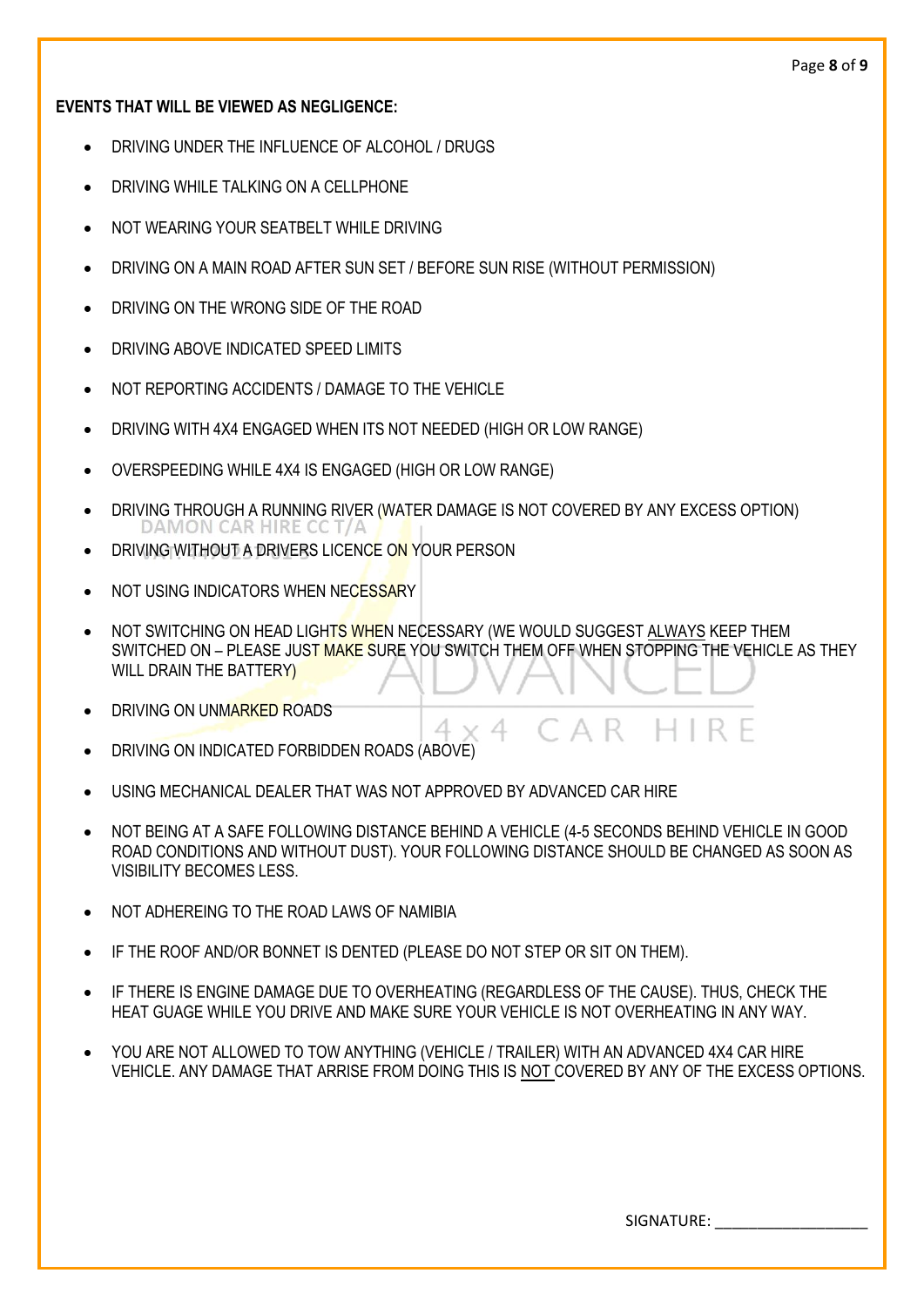## **EVENTS THAT WILL BE VIEWED AS NEGLIGENCE:**

- DRIVING UNDER THE INFLUENCE OF ALCOHOL / DRUGS
- DRIVING WHILE TALKING ON A CELLPHONE
- NOT WEARING YOUR SEATBELT WHILE DRIVING
- DRIVING ON A MAIN ROAD AFTER SUN SET / BEFORE SUN RISE (WITHOUT PERMISSION)
- DRIVING ON THE WRONG SIDE OF THE ROAD
- DRIVING ABOVE INDICATED SPEED LIMITS
- NOT REPORTING ACCIDENTS / DAMAGE TO THE VEHICLE
- DRIVING WITH 4X4 ENGAGED WHEN ITS NOT NEEDED (HIGH OR LOW RANGE)
- OVERSPEEDING WHILE 4X4 IS ENGAGED (HIGH OR LOW RANGE)
- DRIVING THROUGH A RUNNING RIVER (WATER DAMAGE IS NOT COVERED BY ANY EXCESS OPTION) DAMON CAR HIRE CC T/J
- DRIVING WITHOUT A DRIVERS LICENCE ON YOUR PERSON
- NOT USING INDICATORS WHEN NECESSARY
- NOT SWITCHING ON HEAD LIGHTS WHEN NECESSARY (WE WOULD SUGGEST ALWAYS KEEP THEM SWITCHED ON – PLEASE JUST MAKE SURE YOU SWITCH THEM OFF WHEN STOPPING THE VEHICLE AS THEY WILL DRAIN THE BATTERY)

4 x 4

- DRIVING ON UNMARKED ROADS
- DRIVING ON INDICATED FORBIDDEN ROADS (ABOVE)
- USING MECHANICAL DEALER THAT WAS NOT APPROVED BY ADVANCED CAR HIRE
- NOT BEING AT A SAFE FOLLOWING DISTANCE BEHIND A VEHICLE (4-5 SECONDS BEHIND VEHICLE IN GOOD ROAD CONDITIONS AND WITHOUT DUST). YOUR FOLLOWING DISTANCE SHOULD BE CHANGED AS SOON AS VISIBILITY BECOMES LESS.
- NOT ADHEREING TO THE ROAD LAWS OF NAMIBIA
- IF THE ROOF AND/OR BONNET IS DENTED (PLEASE DO NOT STEP OR SIT ON THEM).
- IF THERE IS ENGINE DAMAGE DUE TO OVERHEATING (REGARDLESS OF THE CAUSE). THUS, CHECK THE HEAT GUAGE WHILE YOU DRIVE AND MAKE SURE YOUR VEHICLE IS NOT OVERHEATING IN ANY WAY.
- YOU ARE NOT ALLOWED TO TOW ANYTHING (VEHICLE / TRAILER) WITH AN ADVANCED 4X4 CAR HIRE VEHICLE. ANY DAMAGE THAT ARRISE FROM DOING THIS IS NOT COVERED BY ANY OF THE EXCESS OPTIONS.

SIGNATURE:

 $H$  IRF

ΓAR